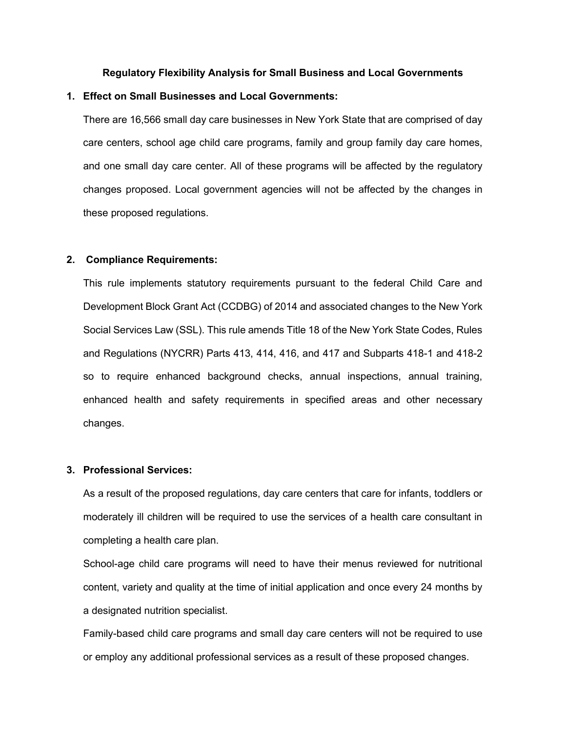### **Regulatory Flexibility Analysis for Small Business and Local Governments**

## **1. Effect on Small Businesses and Local Governments:**

There are 16,566 small day care businesses in New York State that are comprised of day care centers, school age child care programs, family and group family day care homes, and one small day care center. All of these programs will be affected by the regulatory changes proposed. Local government agencies will not be affected by the changes in these proposed regulations.

# **2. Compliance Requirements:**

This rule implements statutory requirements pursuant to the federal Child Care and Development Block Grant Act (CCDBG) of 2014 and associated changes to the New York Social Services Law (SSL). This rule amends Title 18 of the New York State Codes, Rules and Regulations (NYCRR) Parts 413, 414, 416, and 417 and Subparts 418-1 and 418-2 so to require enhanced background checks, annual inspections, annual training, enhanced health and safety requirements in specified areas and other necessary changes.

### **3. Professional Services:**

As a result of the proposed regulations, day care centers that care for infants, toddlers or moderately ill children will be required to use the services of a health care consultant in completing a health care plan.

School-age child care programs will need to have their menus reviewed for nutritional content, variety and quality at the time of initial application and once every 24 months by a designated nutrition specialist.

Family-based child care programs and small day care centers will not be required to use or employ any additional professional services as a result of these proposed changes.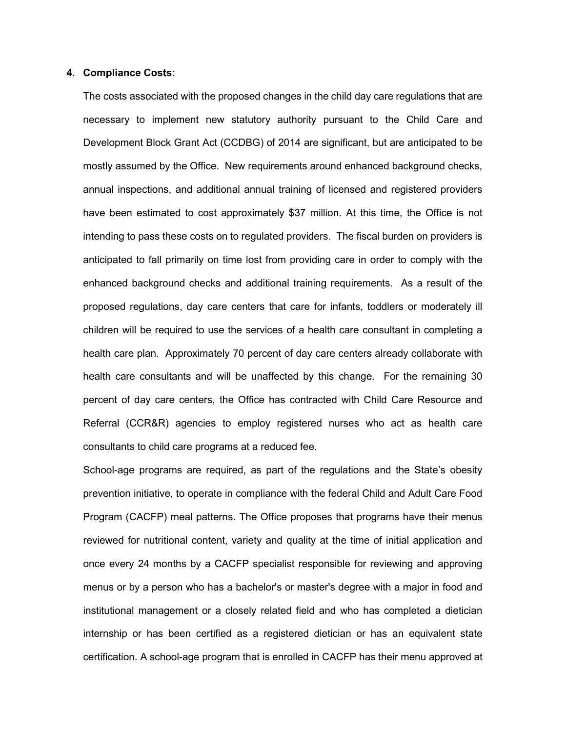#### **4. Compliance Costs:**

The costs associated with the proposed changes in the child day care regulations that are necessary to implement new statutory authority pursuant to the Child Care and Development Block Grant Act (CCDBG) of 2014 are significant, but are anticipated to be mostly assumed by the Office. New requirements around enhanced background checks, annual inspections, and additional annual training of licensed and registered providers have been estimated to cost approximately \$37 million. At this time, the Office is not intending to pass these costs on to regulated providers. The fiscal burden on providers is anticipated to fall primarily on time lost from providing care in order to comply with the enhanced background checks and additional training requirements. As a result of the proposed regulations, day care centers that care for infants, toddlers or moderately ill children will be required to use the services of a health care consultant in completing a health care plan. Approximately 70 percent of day care centers already collaborate with health care consultants and will be unaffected by this change. For the remaining 30 percent of day care centers, the Office has contracted with Child Care Resource and Referral (CCR&R) agencies to employ registered nurses who act as health care consultants to child care programs at a reduced fee.

School-age programs are required, as part of the regulations and the State's obesity prevention initiative, to operate in compliance with the federal Child and Adult Care Food Program (CACFP) meal patterns. The Office proposes that programs have their menus reviewed for nutritional content, variety and quality at the time of initial application and once every 24 months by a CACFP specialist responsible for reviewing and approving menus or by a person who has a bachelor's or master's degree with a major in food and institutional management or a closely related field and who has completed a dietician internship or has been certified as a registered dietician or has an equivalent state certification. A school-age program that is enrolled in CACFP has their menu approved at